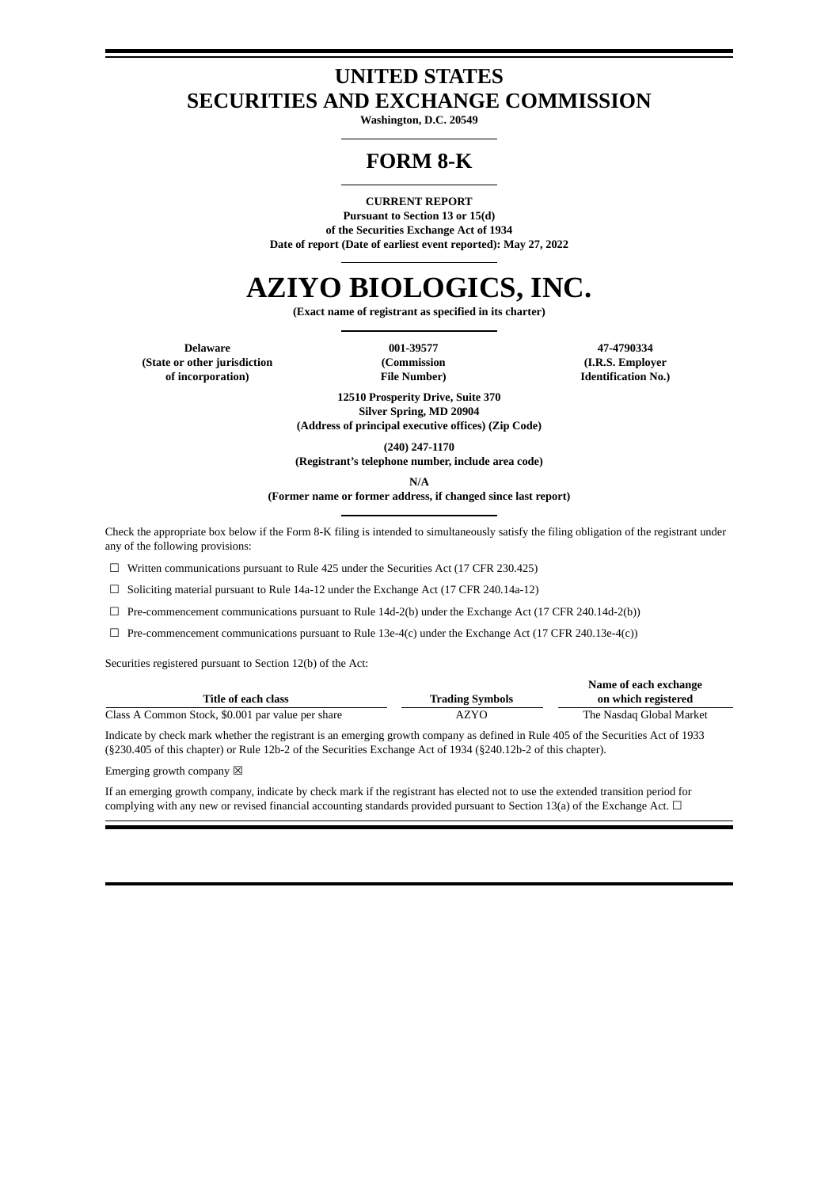## **UNITED STATES SECURITIES AND EXCHANGE COMMISSION**

**Washington, D.C. 20549**

## **FORM 8-K**

#### **CURRENT REPORT**

**Pursuant to Section 13 or 15(d) of the Securities Exchange Act of 1934 Date of report (Date of earliest event reported): May 27, 2022**

# **AZIYO BIOLOGICS, INC.**

**(Exact name of registrant as specified in its charter)**

**Delaware 001-39577 47-4790334 (State or other jurisdiction of incorporation)**

**(Commission File Number)**

**(I.R.S. Employer Identification No.)**

**12510 Prosperity Drive, Suite 370 Silver Spring, MD 20904 (Address of principal executive offices) (Zip Code)**

**(240) 247-1170**

**(Registrant's telephone number, include area code)**

**N/A**

**(Former name or former address, if changed since last report)**

Check the appropriate box below if the Form 8-K filing is intended to simultaneously satisfy the filing obligation of the registrant under any of the following provisions:

☐ Written communications pursuant to Rule 425 under the Securities Act (17 CFR 230.425)

☐ Soliciting material pursuant to Rule 14a-12 under the Exchange Act (17 CFR 240.14a-12)

 $\Box$  Pre-commencement communications pursuant to Rule 14d-2(b) under the Exchange Act (17 CFR 240.14d-2(b))

☐ Pre-commencement communications pursuant to Rule 13e-4(c) under the Exchange Act (17 CFR 240.13e-4(c))

Securities registered pursuant to Section 12(b) of the Act:

|                                                   |                        | Name of each exchange    |
|---------------------------------------------------|------------------------|--------------------------|
| Title of each class                               | <b>Trading Symbols</b> | on which registered      |
| Class A Common Stock, \$0.001 par value per share | AZYO                   | The Nasdag Global Market |

Indicate by check mark whether the registrant is an emerging growth company as defined in Rule 405 of the Securities Act of 1933 (§230.405 of this chapter) or Rule 12b-2 of the Securities Exchange Act of 1934 (§240.12b-2 of this chapter).

Emerging growth company  $\boxtimes$ 

If an emerging growth company, indicate by check mark if the registrant has elected not to use the extended transition period for complying with any new or revised financial accounting standards provided pursuant to Section 13(a) of the Exchange Act.  $\Box$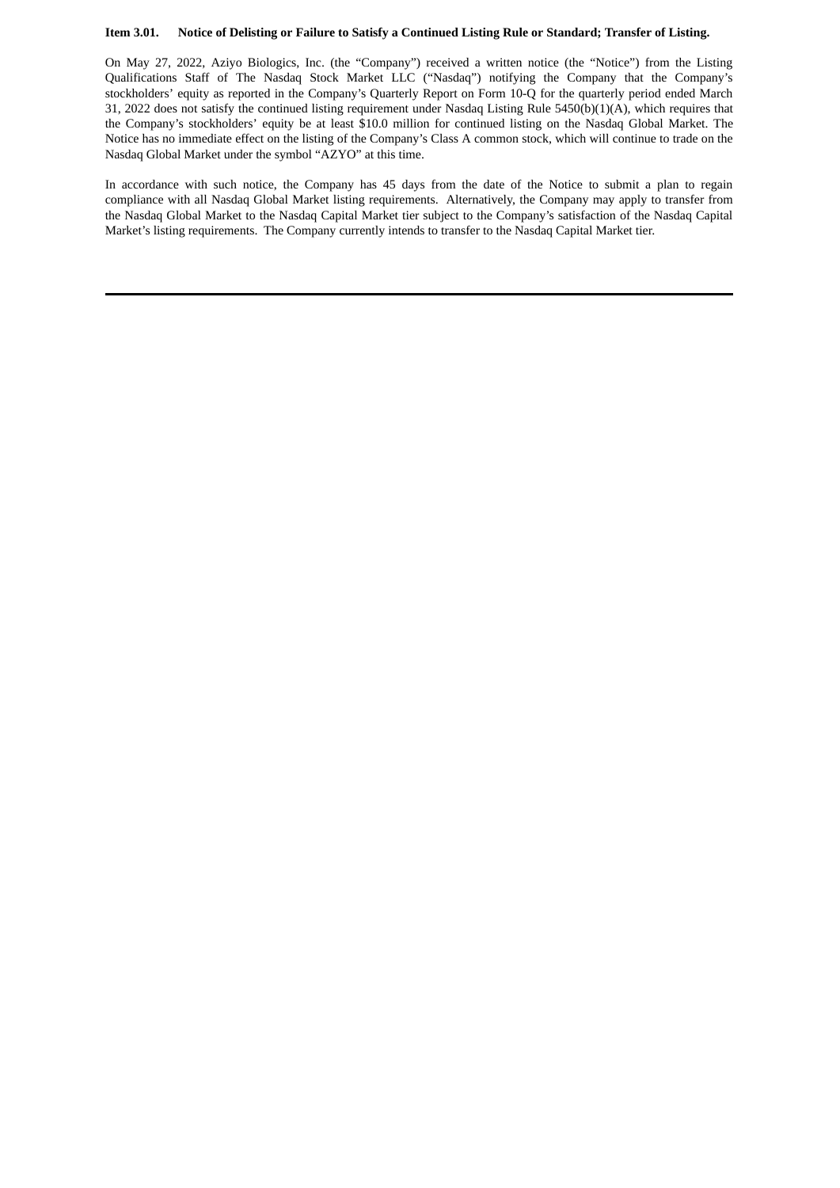### Item 3.01. Notice of Delisting or Failure to Satisfy a Continued Listing Rule or Standard; Transfer of Listing.

On May 27, 2022, Aziyo Biologics, Inc. (the "Company") received a written notice (the "Notice") from the Listing Qualifications Staff of The Nasdaq Stock Market LLC ("Nasdaq") notifying the Company that the Company's stockholders' equity as reported in the Company's Quarterly Report on Form 10-Q for the quarterly period ended March 31, 2022 does not satisfy the continued listing requirement under Nasdaq Listing Rule 5450(b)(1)(A), which requires that the Company's stockholders' equity be at least \$10.0 million for continued listing on the Nasdaq Global Market. The Notice has no immediate effect on the listing of the Company's Class A common stock, which will continue to trade on the Nasdaq Global Market under the symbol "AZYO" at this time.

In accordance with such notice, the Company has 45 days from the date of the Notice to submit a plan to regain compliance with all Nasdaq Global Market listing requirements. Alternatively, the Company may apply to transfer from the Nasdaq Global Market to the Nasdaq Capital Market tier subject to the Company's satisfaction of the Nasdaq Capital Market's listing requirements. The Company currently intends to transfer to the Nasdaq Capital Market tier.